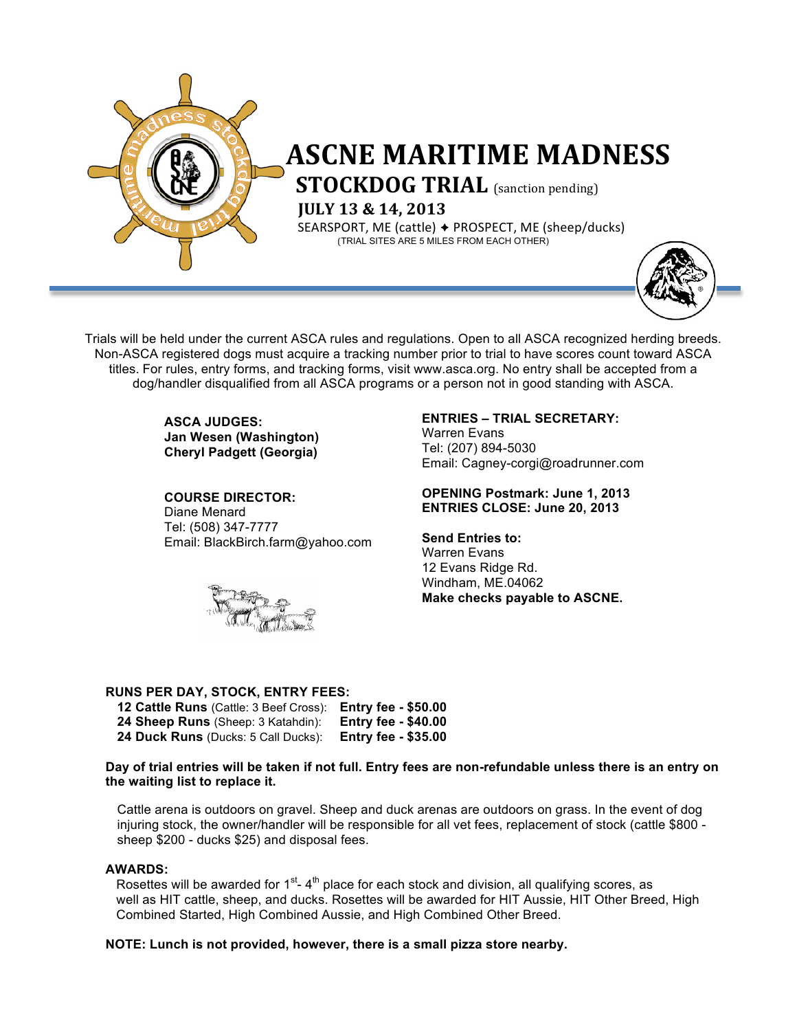

# **ASCNE MARITIME MADNESS**<br>**STOCKDOG TRIAL** (sanction pending)

**IULY 13 & 14, 2013** 

**SEARSPORT, ME (cattle) → PROSPECT, ME (sheep/ducks)** (TRIAL SITES ARE 5 MILES FROM EACH OTHER)



Trials will be held under the current ASCA rules and regulations. Open to all ASCA recognized herding breeds. Non-ASCA registered dogs must acquire a tracking number prior to trial to have scores count toward ASCA titles. For rules, entry forms, and tracking forms, visit www.asca.org. No entry shall be accepted from a dog/handler disqualified from all ASCA programs or a person not in good standing with ASCA.

> **ASCA JUDGES: Jan Wesen (Washington) Cheryl Padgett (Georgia)**

**COURSE DIRECTOR:**  Diane Menard Tel: (508) 347-7777 Email: BlackBirch.farm@yahoo.com



#### **ENTRIES – TRIAL SECRETARY:**

Warren Evans Tel: (207) 894-5030 Email: Cagney-corgi@roadrunner.com

#### **OPENING Postmark: June 1, 2013 ENTRIES CLOSE: June 20, 2013**

**Send Entries to:**  Warren Evans

12 Evans Ridge Rd. Windham, ME.04062 **Make checks payable to ASCNE.** 

#### **RUNS PER DAY, STOCK, ENTRY FEES:**

| 12 Cattle Runs (Cattle: 3 Beef Cross): Entry fee - \$50.00 |                            |
|------------------------------------------------------------|----------------------------|
| 24 Sheep Runs (Sheep: 3 Katahdin):                         | <b>Entry fee - \$40.00</b> |
| <b>24 Duck Runs</b> (Ducks: 5 Call Ducks):                 | <b>Entry fee - \$35.00</b> |

**Day of trial entries will be taken if not full. Entry fees are non-refundable unless there is an entry on the waiting list to replace it.**

Cattle arena is outdoors on gravel. Sheep and duck arenas are outdoors on grass. In the event of dog injuring stock, the owner/handler will be responsible for all vet fees, replacement of stock (cattle \$800 sheep \$200 - ducks \$25) and disposal fees.

#### **AWARDS:**

Rosettes will be awarded for  $1<sup>st</sup> - 4<sup>th</sup>$  place for each stock and division, all qualifying scores, as well as HIT cattle, sheep, and ducks. Rosettes will be awarded for HIT Aussie, HIT Other Breed, High Combined Started, High Combined Aussie, and High Combined Other Breed.

**NOTE: Lunch is not provided, however, there is a small pizza store nearby.**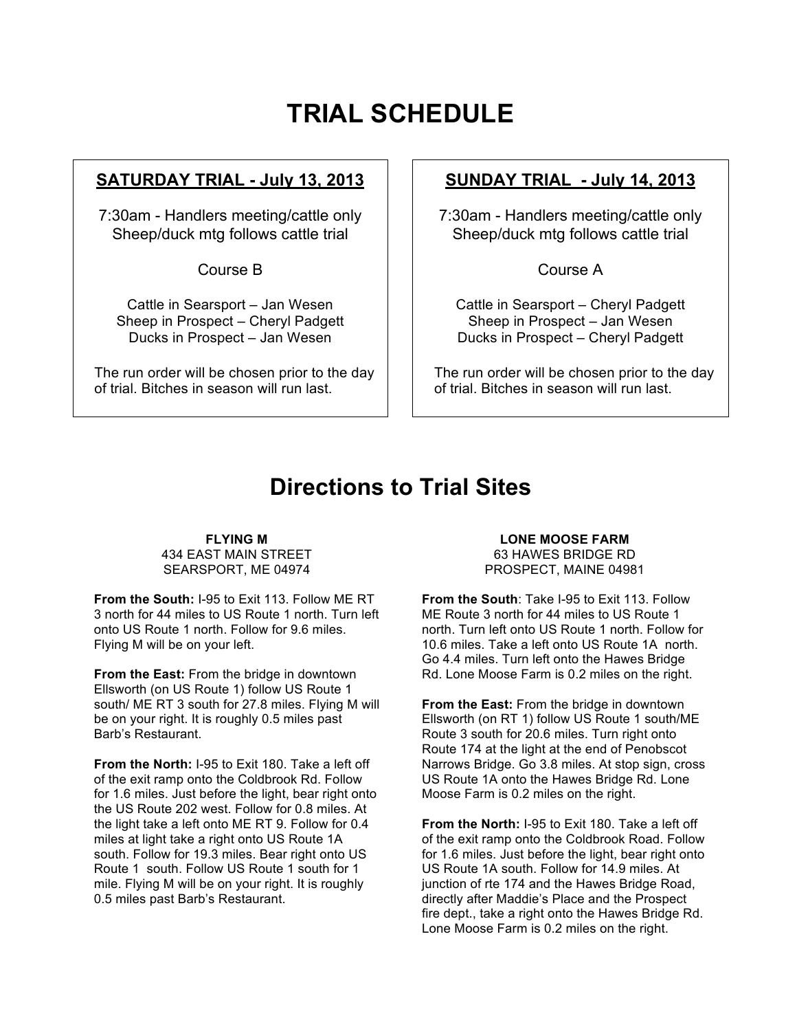## **TRIAL SCHEDULE**

#### **SATURDAY TRIAL - July 13, 2013**

7:30am - Handlers meeting/cattle only Sheep/duck mtg follows cattle trial

Course B

Cattle in Searsport – Jan Wesen Sheep in Prospect – Cheryl Padgett Ducks in Prospect – Jan Wesen

The run order will be chosen prior to the day of trial. Bitches in season will run last.

### **SUNDAY TRIAL - July 14, 2013**

7:30am - Handlers meeting/cattle only Sheep/duck mtg follows cattle trial

Course A

Cattle in Searsport – Cheryl Padgett Sheep in Prospect – Jan Wesen Ducks in Prospect – Cheryl Padgett

The run order will be chosen prior to the day of trial. Bitches in season will run last.

## **Directions to Trial Sites**

**FLYING M** 434 EAST MAIN STREET SEARSPORT, ME 04974

**From the South:** I-95 to Exit 113. Follow ME RT 3 north for 44 miles to US Route 1 north. Turn left onto US Route 1 north. Follow for 9.6 miles. Flying M will be on your left.

**From the East:** From the bridge in downtown Ellsworth (on US Route 1) follow US Route 1 south/ ME RT 3 south for 27.8 miles. Flying M will be on your right. It is roughly 0.5 miles past Barb's Restaurant.

**From the North:** I-95 to Exit 180. Take a left off of the exit ramp onto the Coldbrook Rd. Follow for 1.6 miles. Just before the light, bear right onto the US Route 202 west. Follow for 0.8 miles. At the light take a left onto ME RT 9. Follow for 0.4 miles at light take a right onto US Route 1A south. Follow for 19.3 miles. Bear right onto US Route 1 south. Follow US Route 1 south for 1 mile. Flying M will be on your right. It is roughly 0.5 miles past Barb's Restaurant.

#### **LONE MOOSE FARM**

63 HAWES BRIDGE RD PROSPECT, MAINE 04981

**From the South**: Take I-95 to Exit 113. Follow ME Route 3 north for 44 miles to US Route 1 north. Turn left onto US Route 1 north. Follow for 10.6 miles. Take a left onto US Route 1A north. Go 4.4 miles. Turn left onto the Hawes Bridge Rd. Lone Moose Farm is 0.2 miles on the right.

**From the East:** From the bridge in downtown Ellsworth (on RT 1) follow US Route 1 south/ME Route 3 south for 20.6 miles. Turn right onto Route 174 at the light at the end of Penobscot Narrows Bridge. Go 3.8 miles. At stop sign, cross US Route 1A onto the Hawes Bridge Rd. Lone Moose Farm is 0.2 miles on the right.

**From the North:** I-95 to Exit 180. Take a left off of the exit ramp onto the Coldbrook Road. Follow for 1.6 miles. Just before the light, bear right onto US Route 1A south. Follow for 14.9 miles. At junction of rte 174 and the Hawes Bridge Road, directly after Maddie's Place and the Prospect fire dept., take a right onto the Hawes Bridge Rd. Lone Moose Farm is 0.2 miles on the right.